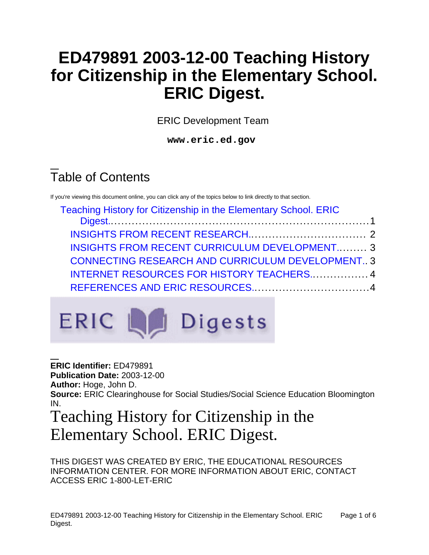# **ED479891 2003-12-00 Teaching History for Citizenship in the Elementary School. ERIC Digest.**

ERIC Development Team

**www.eric.ed.gov**

# Table of Contents

If you're viewing this document online, you can click any of the topics below to link directly to that section.

| Teaching History for Citizenship in the Elementary School. ERIC |  |
|-----------------------------------------------------------------|--|
|                                                                 |  |
|                                                                 |  |
| <b>INSIGHTS FROM RECENT CURRICULUM DEVELOPMENT 3</b>            |  |
| <b>CONNECTING RESEARCH AND CURRICULUM DEVELOPMENT 3</b>         |  |
| INTERNET RESOURCES FOR HISTORY TEACHERS 4                       |  |
|                                                                 |  |
|                                                                 |  |



**ERIC Identifier:** ED479891 **Publication Date:** 2003-12-00 **Author:** Hoge, John D. **Source:** ERIC Clearinghouse for Social Studies/Social Science Education Bloomington IN. Teaching History for Citizenship in the

# <span id="page-0-0"></span>Elementary School. ERIC Digest.

THIS DIGEST WAS CREATED BY ERIC, THE EDUCATIONAL RESOURCES INFORMATION CENTER. FOR MORE INFORMATION ABOUT ERIC, CONTACT ACCESS ERIC 1-800-LET-ERIC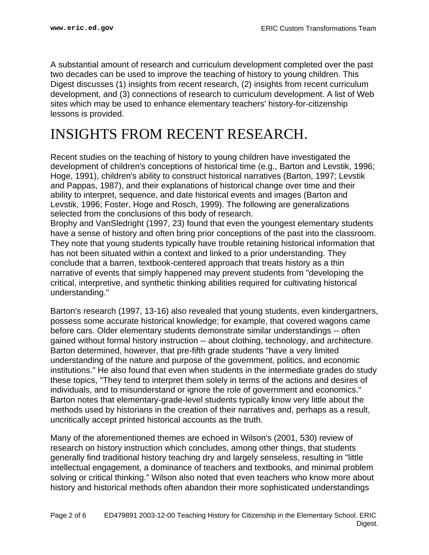A substantial amount of research and curriculum development completed over the past two decades can be used to improve the teaching of history to young children. This Digest discusses (1) insights from recent research, (2) insights from recent curriculum development, and (3) connections of research to curriculum development. A list of Web sites which may be used to enhance elementary teachers' history-for-citizenship lessons is provided.

## <span id="page-1-0"></span>INSIGHTS FROM RECENT RESEARCH.

Recent studies on the teaching of history to young children have investigated the development of children's conceptions of historical time (e.g., Barton and Levstik, 1996; Hoge, 1991), children's ability to construct historical narratives (Barton, 1997; Levstik and Pappas, 1987), and their explanations of historical change over time and their ability to interpret, sequence, and date historical events and images (Barton and Levstik, 1996; Foster, Hoge and Rosch, 1999). The following are generalizations selected from the conclusions of this body of research.

Brophy and VanSledright (1997, 23) found that even the youngest elementary students have a sense of history and often bring prior conceptions of the past into the classroom. They note that young students typically have trouble retaining historical information that has not been situated within a context and linked to a prior understanding. They conclude that a barren, textbook-centered approach that treats history as a thin narrative of events that simply happened may prevent students from "developing the critical, interpretive, and synthetic thinking abilities required for cultivating historical understanding."

Barton's research (1997, 13-16) also revealed that young students, even kindergartners, possess some accurate historical knowledge; for example, that covered wagons came before cars. Older elementary students demonstrate similar understandings -- often gained without formal history instruction -- about clothing, technology, and architecture. Barton determined, however, that pre-fifth grade students "have a very limited understanding of the nature and purpose of the government, politics, and economic institutions." He also found that even when students in the intermediate grades do study these topics, "They tend to interpret them solely in terms of the actions and desires of individuals, and to misunderstand or ignore the role of government and economics." Barton notes that elementary-grade-level students typically know very little about the methods used by historians in the creation of their narratives and, perhaps as a result, uncritically accept printed historical accounts as the truth.

Many of the aforementioned themes are echoed in Wilson's (2001, 530) review of research on history instruction which concludes, among other things, that students generally find traditional history teaching dry and largely senseless, resulting in "little intellectual engagement, a dominance of teachers and textbooks, and minimal problem solving or critical thinking." Wilson also noted that even teachers who know more about history and historical methods often abandon their more sophisticated understandings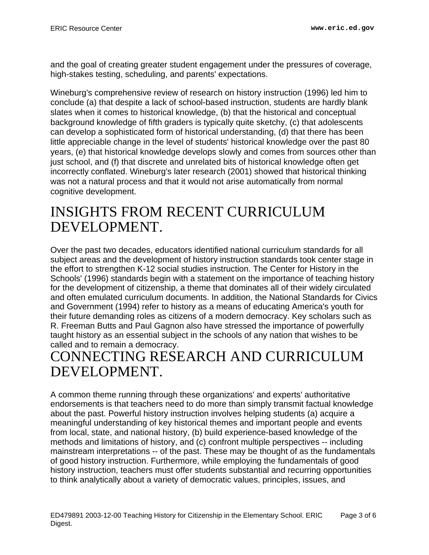and the goal of creating greater student engagement under the pressures of coverage, high-stakes testing, scheduling, and parents' expectations.

Wineburg's comprehensive review of research on history instruction (1996) led him to conclude (a) that despite a lack of school-based instruction, students are hardly blank slates when it comes to historical knowledge, (b) that the historical and conceptual background knowledge of fifth graders is typically quite sketchy, (c) that adolescents can develop a sophisticated form of historical understanding, (d) that there has been little appreciable change in the level of students' historical knowledge over the past 80 years, (e) that historical knowledge develops slowly and comes from sources other than just school, and (f) that discrete and unrelated bits of historical knowledge often get incorrectly conflated. Wineburg's later research (2001) showed that historical thinking was not a natural process and that it would not arise automatically from normal cognitive development.

#### <span id="page-2-0"></span>INSIGHTS FROM RECENT CURRICULUM DEVELOPMENT.

Over the past two decades, educators identified national curriculum standards for all subject areas and the development of history instruction standards took center stage in the effort to strengthen K-12 social studies instruction. The Center for History in the Schools' (1996) standards begin with a statement on the importance of teaching history for the development of citizenship, a theme that dominates all of their widely circulated and often emulated curriculum documents. In addition, the National Standards for Civics and Government (1994) refer to history as a means of educating America's youth for their future demanding roles as citizens of a modern democracy. Key scholars such as R. Freeman Butts and Paul Gagnon also have stressed the importance of powerfully taught history as an essential subject in the schools of any nation that wishes to be called and to remain a democracy.

## <span id="page-2-1"></span>CONNECTING RESEARCH AND CURRICULUM DEVELOPMENT.

A common theme running through these organizations' and experts' authoritative endorsements is that teachers need to do more than simply transmit factual knowledge about the past. Powerful history instruction involves helping students (a) acquire a meaningful understanding of key historical themes and important people and events from local, state, and national history, (b) build experience-based knowledge of the methods and limitations of history, and (c) confront multiple perspectives -- including mainstream interpretations -- of the past. These may be thought of as the fundamentals of good history instruction. Furthermore, while employing the fundamentals of good history instruction, teachers must offer students substantial and recurring opportunities to think analytically about a variety of democratic values, principles, issues, and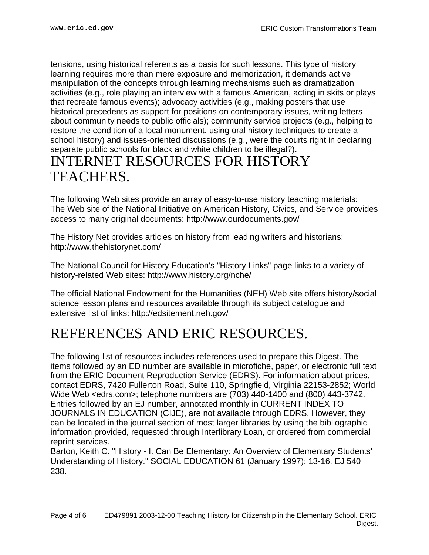tensions, using historical referents as a basis for such lessons. This type of history learning requires more than mere exposure and memorization, it demands active manipulation of the concepts through learning mechanisms such as dramatization activities (e.g., role playing an interview with a famous American, acting in skits or plays that recreate famous events); advocacy activities (e.g., making posters that use historical precedents as support for positions on contemporary issues, writing letters about community needs to public officials); community service projects (e.g., helping to restore the condition of a local monument, using oral history techniques to create a school history) and issues-oriented discussions (e.g., were the courts right in declaring separate public schools for black and white children to be illegal?).

#### <span id="page-3-0"></span>INTERNET RESOURCES FOR HISTORY TEACHERS.

The following Web sites provide an array of easy-to-use history teaching materials: The Web site of the National Initiative on American History, Civics, and Service provides access to many original documents: http://www.ourdocuments.gov/

The History Net provides articles on history from leading writers and historians: http://www.thehistorynet.com/

The National Council for History Education's "History Links" page links to a variety of history-related Web sites: http://www.history.org/nche/

The official National Endowment for the Humanities (NEH) Web site offers history/social science lesson plans and resources available through its subject catalogue and extensive list of links: http://edsitement.neh.gov/

## <span id="page-3-1"></span>REFERENCES AND ERIC RESOURCES.

The following list of resources includes references used to prepare this Digest. The items followed by an ED number are available in microfiche, paper, or electronic full text from the ERIC Document Reproduction Service (EDRS). For information about prices, contact EDRS, 7420 Fullerton Road, Suite 110, Springfield, Virginia 22153-2852; World Wide Web <edrs.com>; telephone numbers are (703) 440-1400 and (800) 443-3742. Entries followed by an EJ number, annotated monthly in CURRENT INDEX TO JOURNALS IN EDUCATION (CIJE), are not available through EDRS. However, they can be located in the journal section of most larger libraries by using the bibliographic information provided, requested through Interlibrary Loan, or ordered from commercial reprint services.

Barton, Keith C. "History - It Can Be Elementary: An Overview of Elementary Students' Understanding of History." SOCIAL EDUCATION 61 (January 1997): 13-16. EJ 540 238.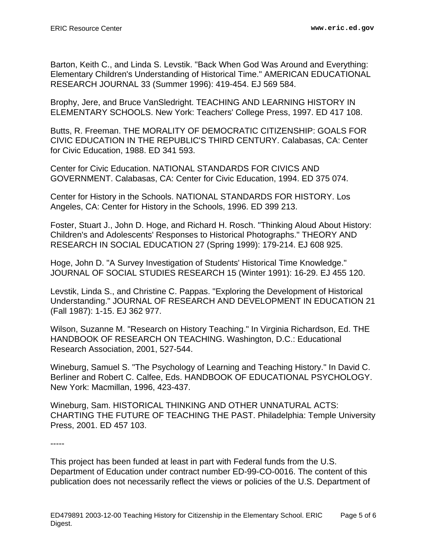Barton, Keith C., and Linda S. Levstik. "Back When God Was Around and Everything: Elementary Children's Understanding of Historical Time." AMERICAN EDUCATIONAL RESEARCH JOURNAL 33 (Summer 1996): 419-454. EJ 569 584.

Brophy, Jere, and Bruce VanSledright. TEACHING AND LEARNING HISTORY IN ELEMENTARY SCHOOLS. New York: Teachers' College Press, 1997. ED 417 108.

Butts, R. Freeman. THE MORALITY OF DEMOCRATIC CITIZENSHIP: GOALS FOR CIVIC EDUCATION IN THE REPUBLIC'S THIRD CENTURY. Calabasas, CA: Center for Civic Education, 1988. ED 341 593.

Center for Civic Education. NATIONAL STANDARDS FOR CIVICS AND GOVERNMENT. Calabasas, CA: Center for Civic Education, 1994. ED 375 074.

Center for History in the Schools. NATIONAL STANDARDS FOR HISTORY. Los Angeles, CA: Center for History in the Schools, 1996. ED 399 213.

Foster, Stuart J., John D. Hoge, and Richard H. Rosch. "Thinking Aloud About History: Children's and Adolescents' Responses to Historical Photographs." THEORY AND RESEARCH IN SOCIAL EDUCATION 27 (Spring 1999): 179-214. EJ 608 925.

Hoge, John D. "A Survey Investigation of Students' Historical Time Knowledge." JOURNAL OF SOCIAL STUDIES RESEARCH 15 (Winter 1991): 16-29. EJ 455 120.

Levstik, Linda S., and Christine C. Pappas. "Exploring the Development of Historical Understanding." JOURNAL OF RESEARCH AND DEVELOPMENT IN EDUCATION 21 (Fall 1987): 1-15. EJ 362 977.

Wilson, Suzanne M. "Research on History Teaching." In Virginia Richardson, Ed. THE HANDBOOK OF RESEARCH ON TEACHING. Washington, D.C.: Educational Research Association, 2001, 527-544.

Wineburg, Samuel S. "The Psychology of Learning and Teaching History." In David C. Berliner and Robert C. Calfee, Eds. HANDBOOK OF EDUCATIONAL PSYCHOLOGY. New York: Macmillan, 1996, 423-437.

Wineburg, Sam. HISTORICAL THINKING AND OTHER UNNATURAL ACTS: CHARTING THE FUTURE OF TEACHING THE PAST. Philadelphia: Temple University Press, 2001. ED 457 103.

-----

This project has been funded at least in part with Federal funds from the U.S. Department of Education under contract number ED-99-CO-0016. The content of this publication does not necessarily reflect the views or policies of the U.S. Department of